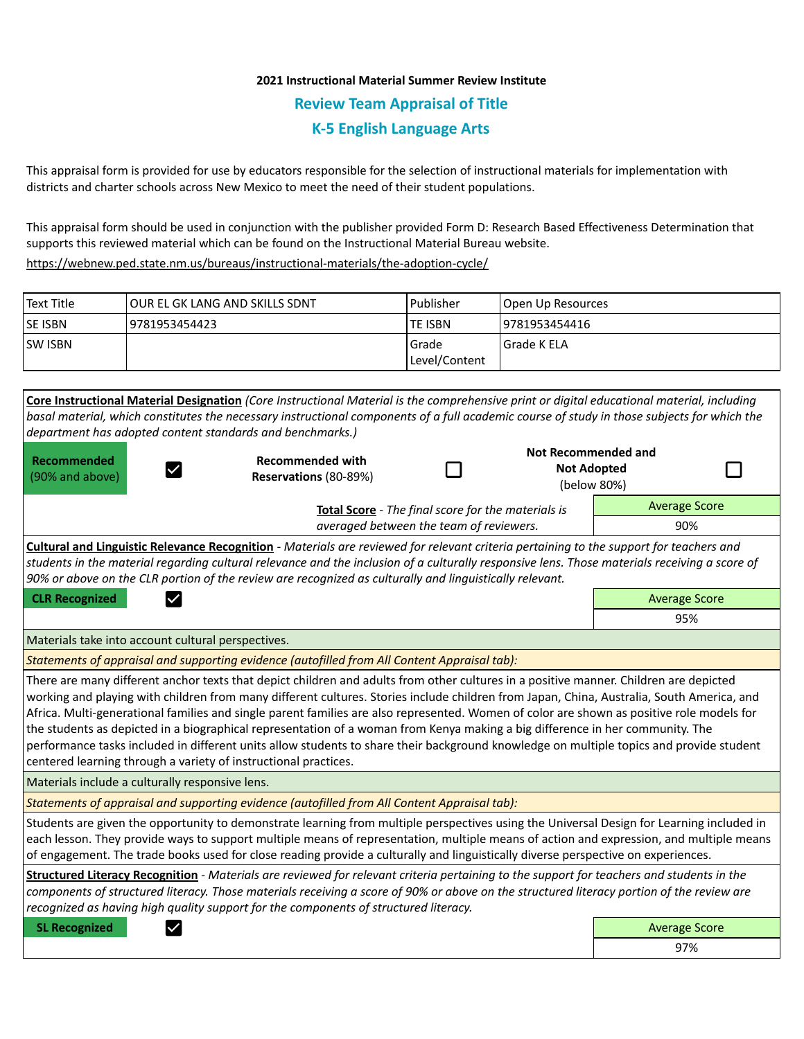# **2021 Instructional Material Summer Review Institute Review Team Appraisal of Title K-5 English Language Arts**

This appraisal form is provided for use by educators responsible for the selection of instructional materials for implementation with districts and charter schools across New Mexico to meet the need of their student populations.

This appraisal form should be used in conjunction with the publisher provided Form D: Research Based Effectiveness Determination that supports this reviewed material which can be found on the Instructional Material Bureau website.

<https://webnew.ped.state.nm.us/bureaus/instructional-materials/the-adoption-cycle/>

| Text Title     | TOUR EL GK LANG AND SKILLS SDNT | l Publisher               | Open Up Resources |
|----------------|---------------------------------|---------------------------|-------------------|
| <b>SE ISBN</b> | 19781953454423                  | lte ISBN                  | 19781953454416    |
| <b>SW ISBN</b> |                                 | l Grade<br> Level/Content | l Grade K ELA     |

**Core Instructional Material Designation** *(Core Instructional Material is the comprehensive print or digital educational material, including basal material, which constitutes the necessary instructional components of a full academic course of study in those subjects for which the department has adopted content standards and benchmarks.)* **Not Recommended and Recommended Recommended with Not Adopted**  П П  $\checkmark$ (90% and above) **Reservations** (80-89%) (below 80%) Average Score **Total Score** - *The final score for the materials is averaged between the team of reviewers.* 90% **Cultural and Linguistic Relevance Recognition** - *Materials are reviewed for relevant criteria pertaining to the support for teachers and students in the material regarding cultural relevance and the inclusion of a culturally responsive lens. Those materials receiving a score of 90% or above on the CLR portion of the review are recognized as culturally and linguistically relevant.* **CLR Recognized Average Score Average Score Average Score Average Score Average Score** 95% Materials take into account cultural perspectives. *Statements of appraisal and supporting evidence (autofilled from All Content Appraisal tab):*  There are many different anchor texts that depict children and adults from other cultures in a positive manner. Children are depicted working and playing with children from many different cultures. Stories include children from Japan, China, Australia, South America, and Africa. Multi-generational families and single parent families are also represented. Women of color are shown as positive role models for the students as depicted in a biographical representation of a woman from Kenya making a big difference in her community. The performance tasks included in different units allow students to share their background knowledge on multiple topics and provide student centered learning through a variety of instructional practices. Materials include a culturally responsive lens. *Statements of appraisal and supporting evidence (autofilled from All Content Appraisal tab):*  Students are given the opportunity to demonstrate learning from multiple perspectives using the Universal Design for Learning included in each lesson. They provide ways to support multiple means of representation, multiple means of action and expression, and multiple means of engagement. The trade books used for close reading provide a culturally and linguistically diverse perspective on experiences. **Structured Literacy Recognition** - *Materials are reviewed for relevant criteria pertaining to the support for teachers and students in the components of structured literacy. Those materials receiving a score of 90% or above on the structured literacy portion of the review are recognized as having high quality support for the components of structured literacy.* **SL Recognized Average Score** Average Score and Average Score and Average Score and Average Score and Average Score 97%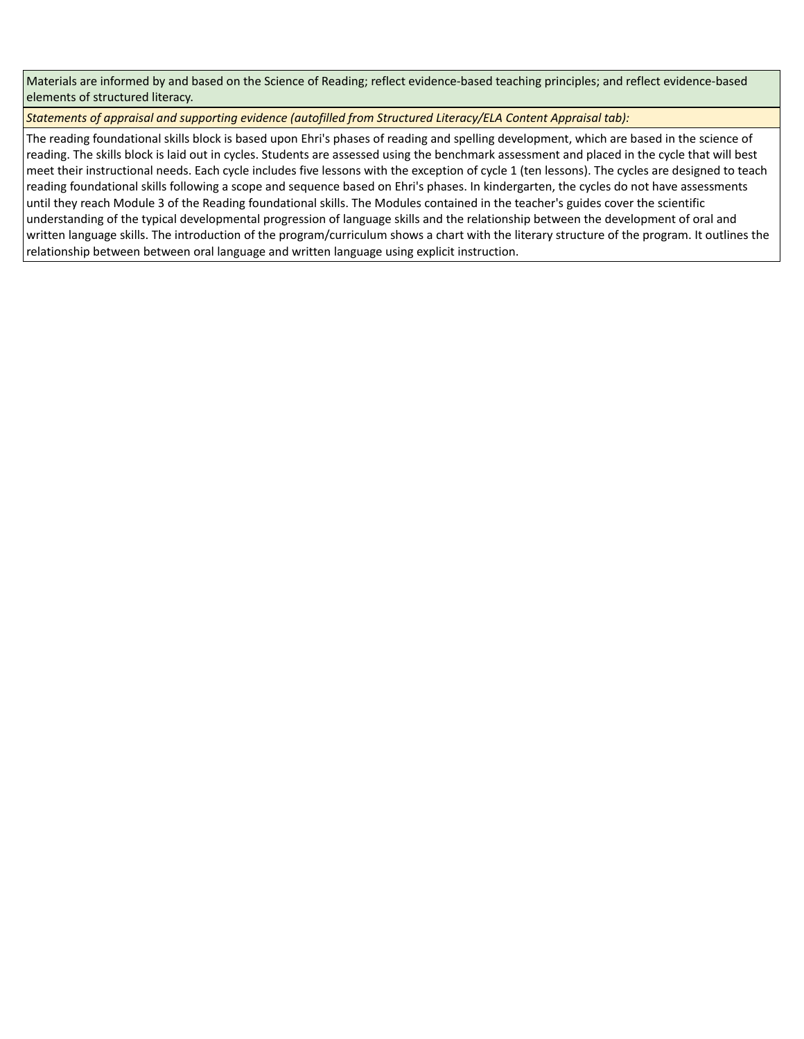Materials are informed by and based on the Science of Reading; reflect evidence-based teaching principles; and reflect evidence-based elements of structured literacy.

*Statements of appraisal and supporting evidence (autofilled from Structured Literacy/ELA Content Appraisal tab):* 

The reading foundational skills block is based upon Ehri's phases of reading and spelling development, which are based in the science of reading. The skills block is laid out in cycles. Students are assessed using the benchmark assessment and placed in the cycle that will best meet their instructional needs. Each cycle includes five lessons with the exception of cycle 1 (ten lessons). The cycles are designed to teach reading foundational skills following a scope and sequence based on Ehri's phases. In kindergarten, the cycles do not have assessments until they reach Module 3 of the Reading foundational skills. The Modules contained in the teacher's guides cover the scientific understanding of the typical developmental progression of language skills and the relationship between the development of oral and written language skills. The introduction of the program/curriculum shows a chart with the literary structure of the program. It outlines the relationship between between oral language and written language using explicit instruction.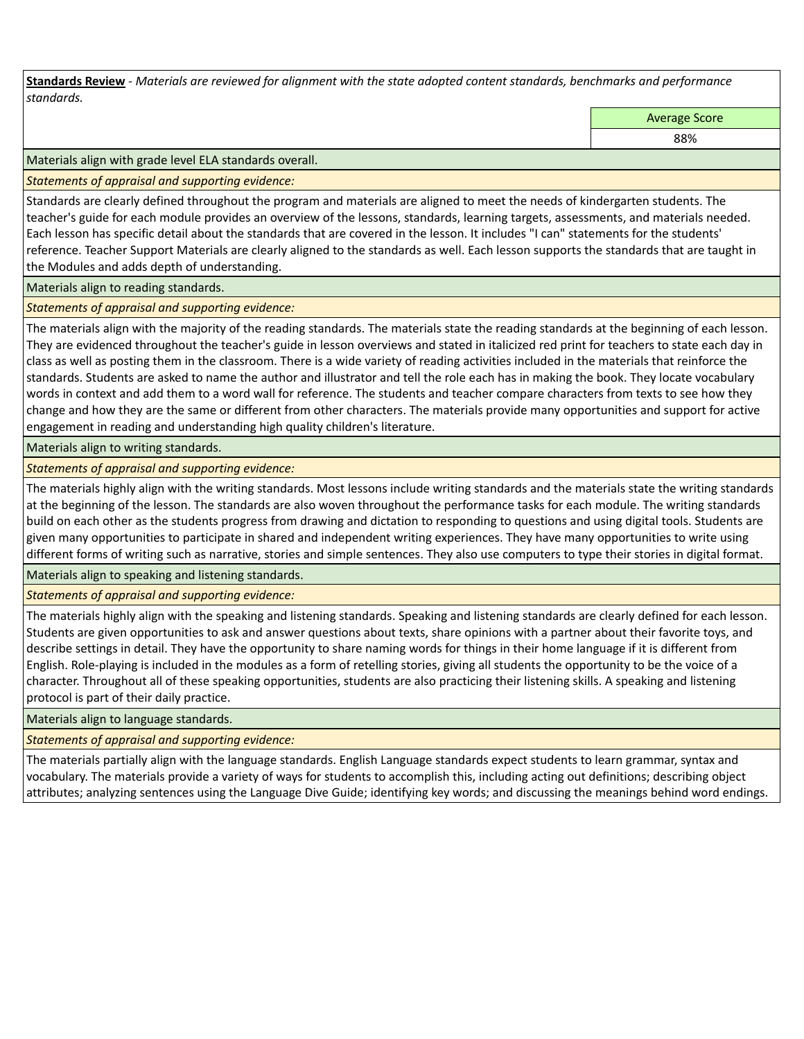**Standards Review** *- Materials are reviewed for alignment with the state adopted content standards, benchmarks and performance standards.*

Average Score

88%

Materials align with grade level ELA standards overall.

*Statements of appraisal and supporting evidence:* 

Standards are clearly defined throughout the program and materials are aligned to meet the needs of kindergarten students. The teacher's guide for each module provides an overview of the lessons, standards, learning targets, assessments, and materials needed. Each lesson has specific detail about the standards that are covered in the lesson. It includes "I can" statements for the students' reference. Teacher Support Materials are clearly aligned to the standards as well. Each lesson supports the standards that are taught in the Modules and adds depth of understanding.

Materials align to reading standards.

*Statements of appraisal and supporting evidence:* 

The materials align with the majority of the reading standards. The materials state the reading standards at the beginning of each lesson. They are evidenced throughout the teacher's guide in lesson overviews and stated in italicized red print for teachers to state each day in class as well as posting them in the classroom. There is a wide variety of reading activities included in the materials that reinforce the standards. Students are asked to name the author and illustrator and tell the role each has in making the book. They locate vocabulary words in context and add them to a word wall for reference. The students and teacher compare characters from texts to see how they change and how they are the same or different from other characters. The materials provide many opportunities and support for active engagement in reading and understanding high quality children's literature.

Materials align to writing standards.

*Statements of appraisal and supporting evidence:* 

The materials highly align with the writing standards. Most lessons include writing standards and the materials state the writing standards at the beginning of the lesson. The standards are also woven throughout the performance tasks for each module. The writing standards build on each other as the students progress from drawing and dictation to responding to questions and using digital tools. Students are given many opportunities to participate in shared and independent writing experiences. They have many opportunities to write using different forms of writing such as narrative, stories and simple sentences. They also use computers to type their stories in digital format.

Materials align to speaking and listening standards.

*Statements of appraisal and supporting evidence:* 

The materials highly align with the speaking and listening standards. Speaking and listening standards are clearly defined for each lesson. Students are given opportunities to ask and answer questions about texts, share opinions with a partner about their favorite toys, and describe settings in detail. They have the opportunity to share naming words for things in their home language if it is different from English. Role-playing is included in the modules as a form of retelling stories, giving all students the opportunity to be the voice of a character. Throughout all of these speaking opportunities, students are also practicing their listening skills. A speaking and listening protocol is part of their daily practice.

Materials align to language standards.

*Statements of appraisal and supporting evidence:* 

The materials partially align with the language standards. English Language standards expect students to learn grammar, syntax and vocabulary. The materials provide a variety of ways for students to accomplish this, including acting out definitions; describing object attributes; analyzing sentences using the Language Dive Guide; identifying key words; and discussing the meanings behind word endings.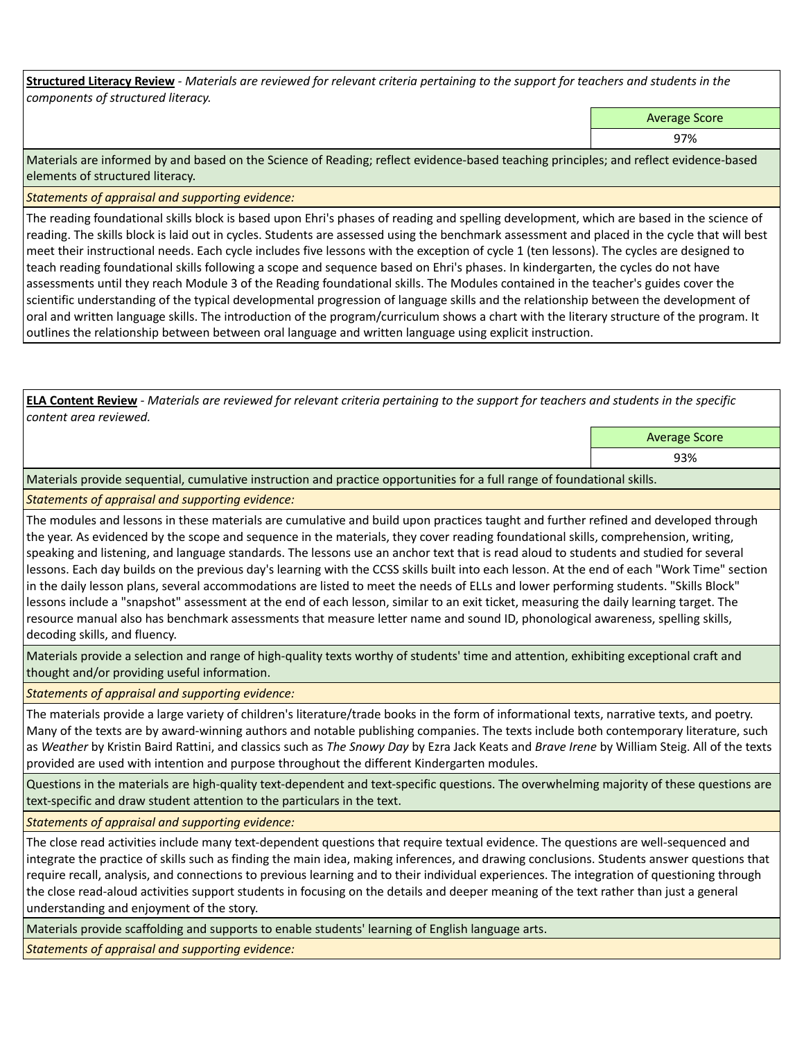**Structured Literacy Review** *- Materials are reviewed for relevant criteria pertaining to the support for teachers and students in the components of structured literacy.*

Average Score

97%

Materials are informed by and based on the Science of Reading; reflect evidence-based teaching principles; and reflect evidence-based elements of structured literacy.

*Statements of appraisal and supporting evidence:*

The reading foundational skills block is based upon Ehri's phases of reading and spelling development, which are based in the science of reading. The skills block is laid out in cycles. Students are assessed using the benchmark assessment and placed in the cycle that will best meet their instructional needs. Each cycle includes five lessons with the exception of cycle 1 (ten lessons). The cycles are designed to teach reading foundational skills following a scope and sequence based on Ehri's phases. In kindergarten, the cycles do not have assessments until they reach Module 3 of the Reading foundational skills. The Modules contained in the teacher's guides cover the scientific understanding of the typical developmental progression of language skills and the relationship between the development of oral and written language skills. The introduction of the program/curriculum shows a chart with the literary structure of the program. It outlines the relationship between between oral language and written language using explicit instruction.

**ELA Content Review** *- Materials are reviewed for relevant criteria pertaining to the support for teachers and students in the specific content area reviewed.*

Average Score

93%

Materials provide sequential, cumulative instruction and practice opportunities for a full range of foundational skills.

# *Statements of appraisal and supporting evidence:*

The modules and lessons in these materials are cumulative and build upon practices taught and further refined and developed through the year. As evidenced by the scope and sequence in the materials, they cover reading foundational skills, comprehension, writing, speaking and listening, and language standards. The lessons use an anchor text that is read aloud to students and studied for several lessons. Each day builds on the previous day's learning with the CCSS skills built into each lesson. At the end of each "Work Time" section in the daily lesson plans, several accommodations are listed to meet the needs of ELLs and lower performing students. "Skills Block" lessons include a "snapshot" assessment at the end of each lesson, similar to an exit ticket, measuring the daily learning target. The resource manual also has benchmark assessments that measure letter name and sound ID, phonological awareness, spelling skills, decoding skills, and fluency.

Materials provide a selection and range of high-quality texts worthy of students' time and attention, exhibiting exceptional craft and thought and/or providing useful information.

*Statements of appraisal and supporting evidence:* 

The materials provide a large variety of children's literature/trade books in the form of informational texts, narrative texts, and poetry. Many of the texts are by award-winning authors and notable publishing companies. The texts include both contemporary literature, such as *Weather* by Kristin Baird Rattini, and classics such as *The Snowy Day* by Ezra Jack Keats and *Brave Irene* by William Steig. All of the texts provided are used with intention and purpose throughout the different Kindergarten modules.

Questions in the materials are high-quality text-dependent and text-specific questions. The overwhelming majority of these questions are text-specific and draw student attention to the particulars in the text.

*Statements of appraisal and supporting evidence:* 

The close read activities include many text-dependent questions that require textual evidence. The questions are well-sequenced and integrate the practice of skills such as finding the main idea, making inferences, and drawing conclusions. Students answer questions that require recall, analysis, and connections to previous learning and to their individual experiences. The integration of questioning through the close read-aloud activities support students in focusing on the details and deeper meaning of the text rather than just a general understanding and enjoyment of the story.

Materials provide scaffolding and supports to enable students' learning of English language arts.

*Statements of appraisal and supporting evidence:*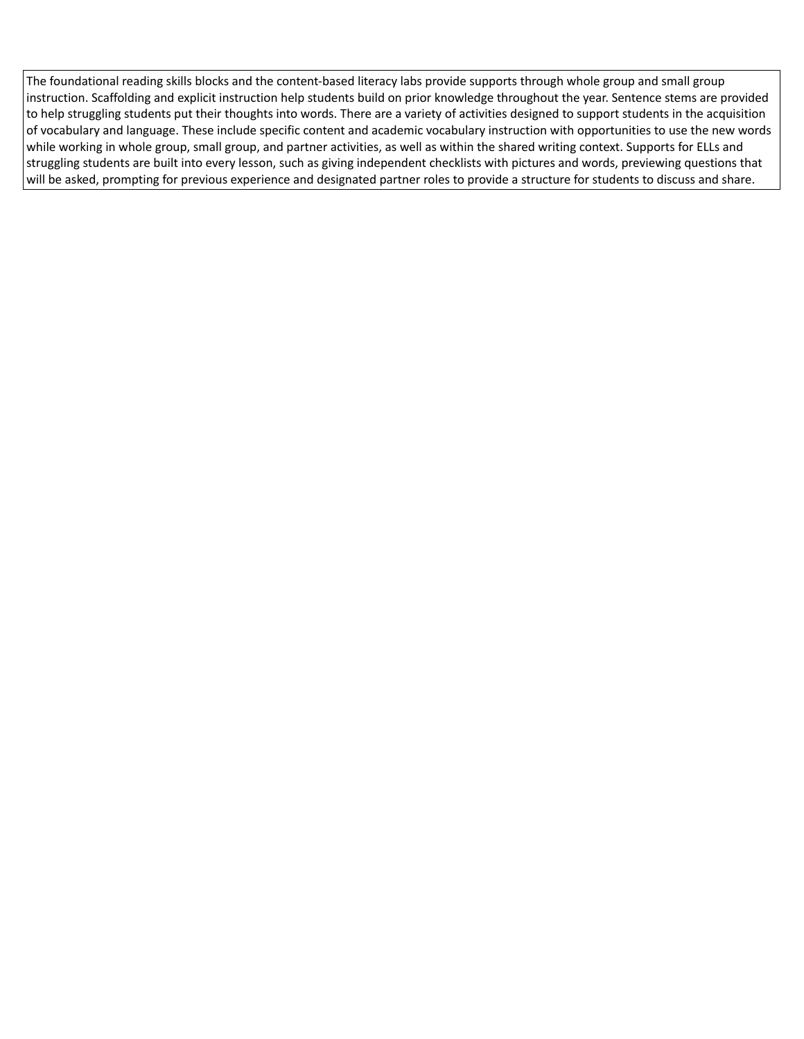The foundational reading skills blocks and the content-based literacy labs provide supports through whole group and small group instruction. Scaffolding and explicit instruction help students build on prior knowledge throughout the year. Sentence stems are provided to help struggling students put their thoughts into words. There are a variety of activities designed to support students in the acquisition of vocabulary and language. These include specific content and academic vocabulary instruction with opportunities to use the new words while working in whole group, small group, and partner activities, as well as within the shared writing context. Supports for ELLs and struggling students are built into every lesson, such as giving independent checklists with pictures and words, previewing questions that will be asked, prompting for previous experience and designated partner roles to provide a structure for students to discuss and share.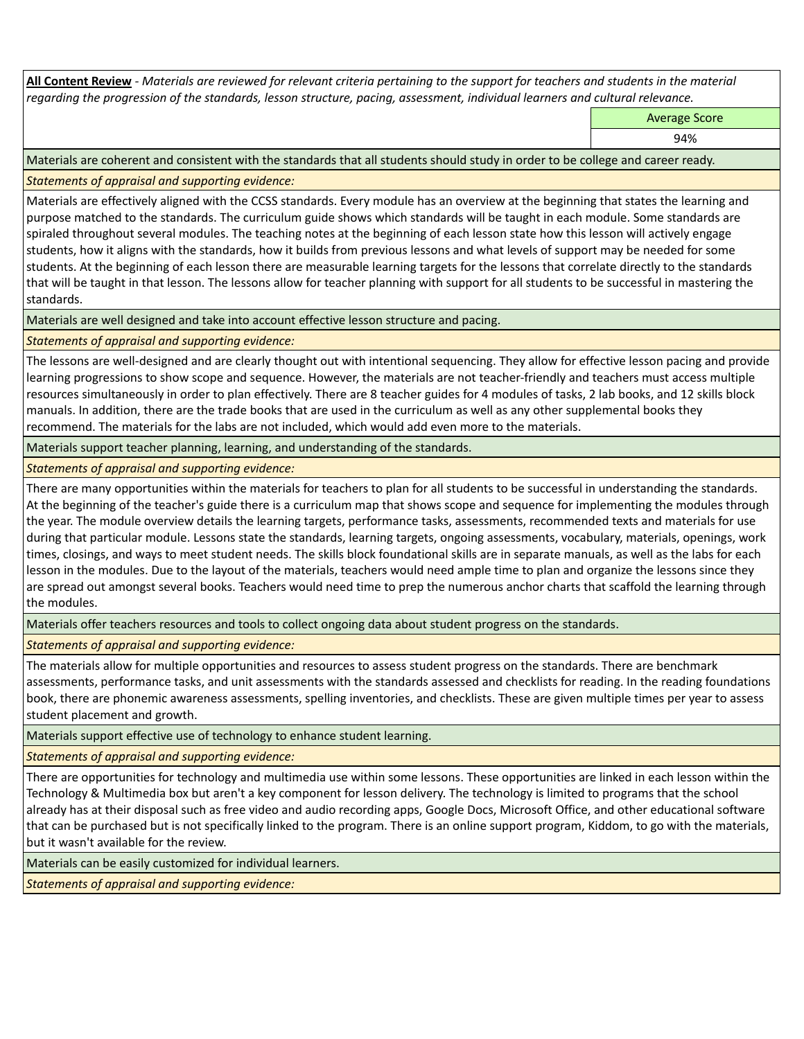**All Content Review** *- Materials are reviewed for relevant criteria pertaining to the support for teachers and students in the material regarding the progression of the standards, lesson structure, pacing, assessment, individual learners and cultural relevance.*

Average Score

94%

Materials are coherent and consistent with the standards that all students should study in order to be college and career ready.

*Statements of appraisal and supporting evidence:*

Materials are effectively aligned with the CCSS standards. Every module has an overview at the beginning that states the learning and purpose matched to the standards. The curriculum guide shows which standards will be taught in each module. Some standards are spiraled throughout several modules. The teaching notes at the beginning of each lesson state how this lesson will actively engage students, how it aligns with the standards, how it builds from previous lessons and what levels of support may be needed for some students. At the beginning of each lesson there are measurable learning targets for the lessons that correlate directly to the standards that will be taught in that lesson. The lessons allow for teacher planning with support for all students to be successful in mastering the standards.

Materials are well designed and take into account effective lesson structure and pacing.

*Statements of appraisal and supporting evidence:*

The lessons are well-designed and are clearly thought out with intentional sequencing. They allow for effective lesson pacing and provide learning progressions to show scope and sequence. However, the materials are not teacher-friendly and teachers must access multiple resources simultaneously in order to plan effectively. There are 8 teacher guides for 4 modules of tasks, 2 lab books, and 12 skills block manuals. In addition, there are the trade books that are used in the curriculum as well as any other supplemental books they recommend. The materials for the labs are not included, which would add even more to the materials.

Materials support teacher planning, learning, and understanding of the standards.

*Statements of appraisal and supporting evidence:*

There are many opportunities within the materials for teachers to plan for all students to be successful in understanding the standards. At the beginning of the teacher's guide there is a curriculum map that shows scope and sequence for implementing the modules through the year. The module overview details the learning targets, performance tasks, assessments, recommended texts and materials for use during that particular module. Lessons state the standards, learning targets, ongoing assessments, vocabulary, materials, openings, work times, closings, and ways to meet student needs. The skills block foundational skills are in separate manuals, as well as the labs for each lesson in the modules. Due to the layout of the materials, teachers would need ample time to plan and organize the lessons since they are spread out amongst several books. Teachers would need time to prep the numerous anchor charts that scaffold the learning through the modules.

Materials offer teachers resources and tools to collect ongoing data about student progress on the standards.

*Statements of appraisal and supporting evidence:*

The materials allow for multiple opportunities and resources to assess student progress on the standards. There are benchmark assessments, performance tasks, and unit assessments with the standards assessed and checklists for reading. In the reading foundations book, there are phonemic awareness assessments, spelling inventories, and checklists. These are given multiple times per year to assess student placement and growth.

Materials support effective use of technology to enhance student learning.

*Statements of appraisal and supporting evidence:*

There are opportunities for technology and multimedia use within some lessons. These opportunities are linked in each lesson within the Technology & Multimedia box but aren't a key component for lesson delivery. The technology is limited to programs that the school already has at their disposal such as free video and audio recording apps, Google Docs, Microsoft Office, and other educational software that can be purchased but is not specifically linked to the program. There is an online support program, Kiddom, to go with the materials, but it wasn't available for the review.

Materials can be easily customized for individual learners.

*Statements of appraisal and supporting evidence:*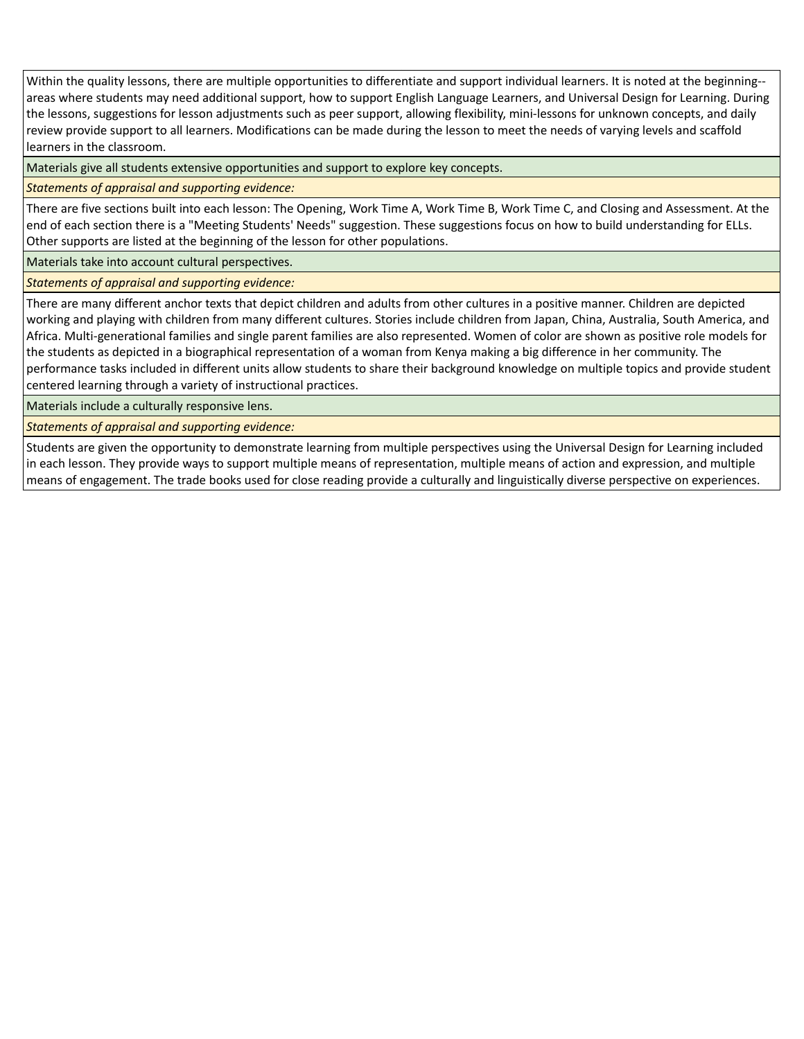Within the quality lessons, there are multiple opportunities to differentiate and support individual learners. It is noted at the beginning- areas where students may need additional support, how to support English Language Learners, and Universal Design for Learning. During the lessons, suggestions for lesson adjustments such as peer support, allowing flexibility, mini-lessons for unknown concepts, and daily review provide support to all learners. Modifications can be made during the lesson to meet the needs of varying levels and scaffold learners in the classroom.

Materials give all students extensive opportunities and support to explore key concepts.

*Statements of appraisal and supporting evidence:*

There are five sections built into each lesson: The Opening, Work Time A, Work Time B, Work Time C, and Closing and Assessment. At the end of each section there is a "Meeting Students' Needs" suggestion. These suggestions focus on how to build understanding for ELLs. Other supports are listed at the beginning of the lesson for other populations.

Materials take into account cultural perspectives.

*Statements of appraisal and supporting evidence:*

There are many different anchor texts that depict children and adults from other cultures in a positive manner. Children are depicted working and playing with children from many different cultures. Stories include children from Japan, China, Australia, South America, and Africa. Multi-generational families and single parent families are also represented. Women of color are shown as positive role models for the students as depicted in a biographical representation of a woman from Kenya making a big difference in her community. The performance tasks included in different units allow students to share their background knowledge on multiple topics and provide student centered learning through a variety of instructional practices.

Materials include a culturally responsive lens.

*Statements of appraisal and supporting evidence:*

Students are given the opportunity to demonstrate learning from multiple perspectives using the Universal Design for Learning included in each lesson. They provide ways to support multiple means of representation, multiple means of action and expression, and multiple means of engagement. The trade books used for close reading provide a culturally and linguistically diverse perspective on experiences.